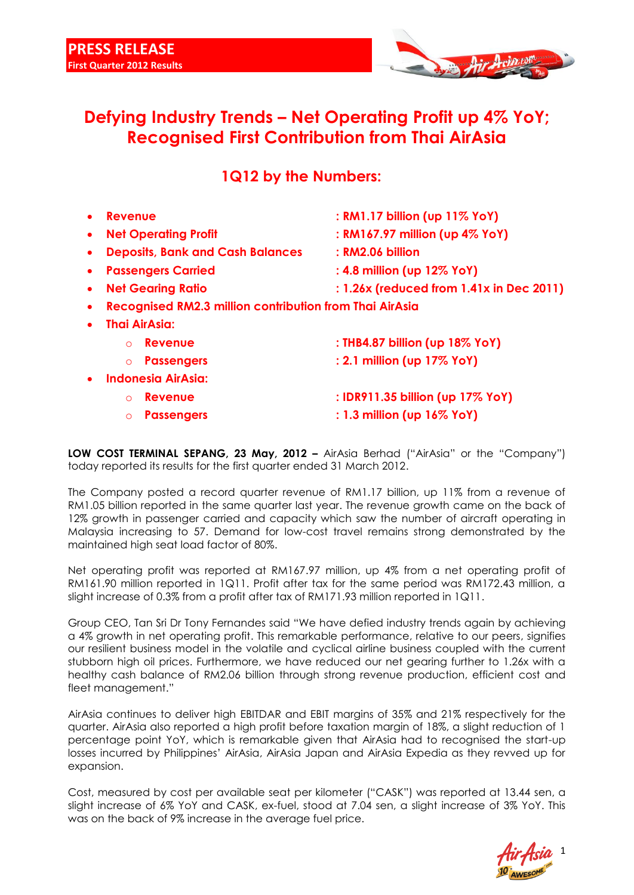

## **Defying Industry Trends – Net Operating Profit up 4% YoY; Recognised First Contribution from Thai AirAsia**

### **1Q12 by the Numbers:**

|           | Revenue                                                        | : RM1.17 billion (up 11% YoY)            |
|-----------|----------------------------------------------------------------|------------------------------------------|
| $\bullet$ | <b>Net Operating Profit</b>                                    | : RM167.97 million (up 4% YoY)           |
|           | <b>Deposits, Bank and Cash Balances</b>                        | : RM2.06 billion                         |
|           | <b>Passengers Carried</b>                                      | : 4.8 million (up 12% YoY)               |
| $\bullet$ | <b>Net Gearing Ratio</b>                                       | : 1.26x (reduced from 1.41x in Dec 2011) |
|           | <b>Recognised RM2.3 million contribution from Thai AirAsia</b> |                                          |
|           | <b>Thai AirAsia:</b>                                           |                                          |
|           | <b>Revenue</b><br>$\Omega$                                     | : THB4.87 billion (up 18% YoY)           |
|           | <b>Passengers</b><br>$\circ$                                   | : 2.1 million (up 17% YoY)               |
|           | <b>Indonesia AirAsia:</b>                                      |                                          |
|           | <b>Revenue</b><br>$\Omega$                                     | : IDR911.35 billion (up 17% YoY)         |
|           | <b>Passengers</b><br>$\Omega$                                  | $: 1.3$ million (up $16\%$ YoY)          |

**LOW COST TERMINAL SEPANG, 23 May, 2012 –** AirAsia Berhad ("AirAsia" or the "Company") today reported its results for the first quarter ended 31 March 2012.

The Company posted a record quarter revenue of RM1.17 billion, up 11% from a revenue of RM1.05 billion reported in the same quarter last year. The revenue growth came on the back of 12% growth in passenger carried and capacity which saw the number of aircraft operating in Malaysia increasing to 57. Demand for low-cost travel remains strong demonstrated by the maintained high seat load factor of 80%.

Net operating profit was reported at RM167.97 million, up 4% from a net operating profit of RM161.90 million reported in 1Q11. Profit after tax for the same period was RM172.43 million, a slight increase of 0.3% from a profit after tax of RM171.93 million reported in 1Q11.

Group CEO, Tan Sri Dr Tony Fernandes said "We have defied industry trends again by achieving a 4% growth in net operating profit. This remarkable performance, relative to our peers, signifies our resilient business model in the volatile and cyclical airline business coupled with the current stubborn high oil prices. Furthermore, we have reduced our net gearing further to 1.26x with a healthy cash balance of RM2.06 billion through strong revenue production, efficient cost and fleet management."

AirAsia continues to deliver high EBITDAR and EBIT margins of 35% and 21% respectively for the quarter. AirAsia also reported a high profit before taxation margin of 18%, a slight reduction of 1 percentage point YoY, which is remarkable given that AirAsia had to recognised the start-up losses incurred by Philippines' AirAsia, AirAsia Japan and AirAsia Expedia as they revved up for expansion.

Cost, measured by cost per available seat per kilometer ("CASK") was reported at 13.44 sen, a slight increase of 6% YoY and CASK, ex-fuel, stood at 7.04 sen, a slight increase of 3% YoY. This was on the back of 9% increase in the average fuel price.

1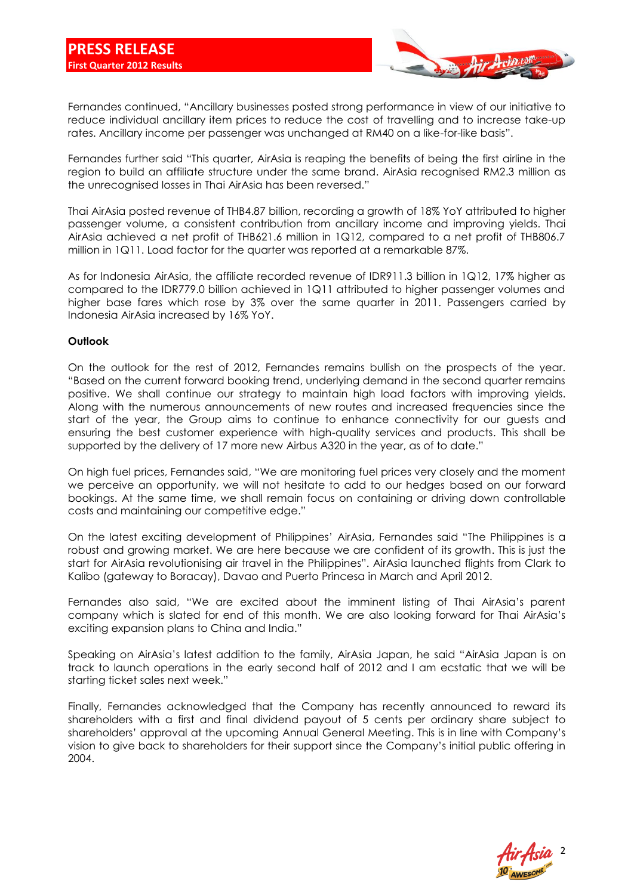

Fernandes continued, "Ancillary businesses posted strong performance in view of our initiative to reduce individual ancillary item prices to reduce the cost of travelling and to increase take-up rates. Ancillary income per passenger was unchanged at RM40 on a like-for-like basis".

Fernandes further said "This quarter, AirAsia is reaping the benefits of being the first airline in the region to build an affiliate structure under the same brand. AirAsia recognised RM2.3 million as the unrecognised losses in Thai AirAsia has been reversed."

Thai AirAsia posted revenue of THB4.87 billion, recording a growth of 18% YoY attributed to higher passenger volume, a consistent contribution from ancillary income and improving yields. Thai AirAsia achieved a net profit of THB621.6 million in 1Q12, compared to a net profit of THB806.7 million in 1Q11. Load factor for the quarter was reported at a remarkable 87%.

As for Indonesia AirAsia, the affiliate recorded revenue of IDR911.3 billion in 1Q12, 17% higher as compared to the IDR779.0 billion achieved in 1Q11 attributed to higher passenger volumes and higher base fares which rose by 3% over the same quarter in 2011. Passengers carried by Indonesia AirAsia increased by 16% YoY.

#### **Outlook**

On the outlook for the rest of 2012, Fernandes remains bullish on the prospects of the year. "Based on the current forward booking trend, underlying demand in the second quarter remains positive. We shall continue our strategy to maintain high load factors with improving yields. Along with the numerous announcements of new routes and increased frequencies since the start of the year, the Group aims to continue to enhance connectivity for our guests and ensuring the best customer experience with high-quality services and products. This shall be supported by the delivery of 17 more new Airbus A320 in the year, as of to date."

On high fuel prices, Fernandes said, "We are monitoring fuel prices very closely and the moment we perceive an opportunity, we will not hesitate to add to our hedges based on our forward bookings. At the same time, we shall remain focus on containing or driving down controllable costs and maintaining our competitive edge."

On the latest exciting development of Philippines' AirAsia, Fernandes said "The Philippines is a robust and growing market. We are here because we are confident of its growth. This is just the start for AirAsia revolutionising air travel in the Philippines". AirAsia launched flights from Clark to Kalibo (gateway to Boracay), Davao and Puerto Princesa in March and April 2012.

Fernandes also said, "We are excited about the imminent listing of Thai AirAsia's parent company which is slated for end of this month. We are also looking forward for Thai AirAsia's exciting expansion plans to China and India."

Speaking on AirAsia's latest addition to the family, AirAsia Japan, he said "AirAsia Japan is on track to launch operations in the early second half of 2012 and I am ecstatic that we will be starting ticket sales next week."

Finally, Fernandes acknowledged that the Company has recently announced to reward its shareholders with a first and final dividend payout of 5 cents per ordinary share subject to shareholders' approval at the upcoming Annual General Meeting. This is in line with Company's vision to give back to shareholders for their support since the Company's initial public offering in 2004.

2